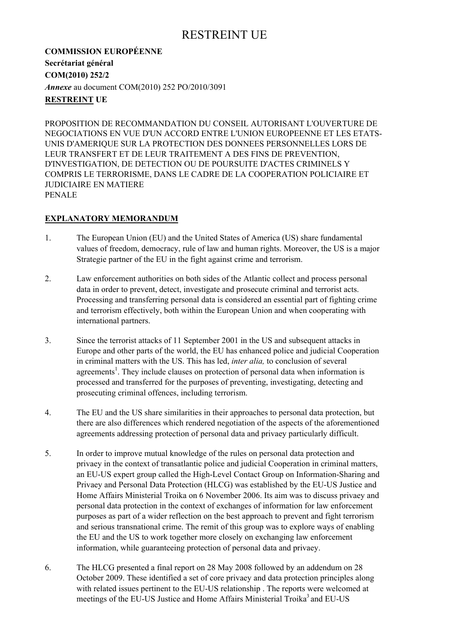**COMMISSION EUROPÉENNE Secrétariat général COM(2010) 252/2**  *Annexe* au document COM(2010) 252 PO/2010/3091 **RESTREINT UE** 

PROPOSITION DE RECOMMANDATION DU CONSEIL AUTORISANT L'OUVERTURE DE NEGOCIATIONS EN VUE D'UN ACCORD ENTRE L'UNION EUROPEENNE ET LES ETATS-UNIS D'AMERIQUE SUR LA PROTECTION DES DONNEES PERSONNELLES LORS DE LEUR TRANSFERT ET DE LEUR TRAITEMENT A DES FINS DE PREVENTION, D'INVESTIGATION, DE DETECTION OU DE POURSUITE D'ACTES CRIMINELS Y COMPRIS LE TERRORISME, DANS LE CADRE DE LA COOPERATION POLICIAIRE ET JUDICIAIRE EN MATIERE PENALE

### **EXPLANATORY MEMORANDUM**

- 1. The European Union (EU) and the United States of America (US) share fundamental values of freedom, democracy, rule of law and human rights. Moreover, the US is a major Strategie partner of the EU in the fight against crime and terrorism.
- 2. Law enforcement authorities on both sides of the Atlantic collect and process personal data in order to prevent, detect, investigate and prosecute criminal and terrorist acts. Processing and transferring personal data is considered an essential part of fighting crime and terrorism effectively, both within the European Union and when cooperating with international partners.
- 3. Since the terrorist attacks of 11 September 2001 in the US and subsequent attacks in Europe and other parts of the world, the EU has enhanced police and judicial Cooperation in criminal matters with the US. This has led, *inter alia,* to conclusion of several agreements<sup>1</sup>. They include clauses on protection of personal data when information is processed and transferred for the purposes of preventing, investigating, detecting and prosecuting criminal offences, including terrorism.
- 4. The EU and the US share similarities in their approaches to personal data protection, but there are also differences which rendered negotiation of the aspects of the aforementioned agreements addressing protection of personal data and privaey particularly difficult.
- 5. In order to improve mutual knowledge of the rules on personal data protection and privaey in the context of transatlantic police and judicial Cooperation in criminal matters, an EU-US expert group called the High-Level Contact Group on Information-Sharing and Privaey and Personal Data Protection (HLCG) was established by the EU-US Justice and Home Affairs Ministerial Troika on 6 November 2006. Its aim was to discuss privaey and personal data protection in the context of exchanges of information for law enforcement purposes as part of a wider reflection on the best approach to prevent and fight terrorism and serious transnational crime. The remit of this group was to explore ways of enabling the EU and the US to work together more closely on exchanging law enforcement information, while guaranteeing protection of personal data and privaey.
- 6. The HLCG presented a final report on 28 May 2008 followed by an addendum on 28 October 2009. These identified a set of core privaey and data protection principles along with related issues pertinent to the EU-US relationship . The reports were welcomed at meetings of the EU-US Justice and Home Affairs Ministerial Troika<sup>3</sup> and EU-US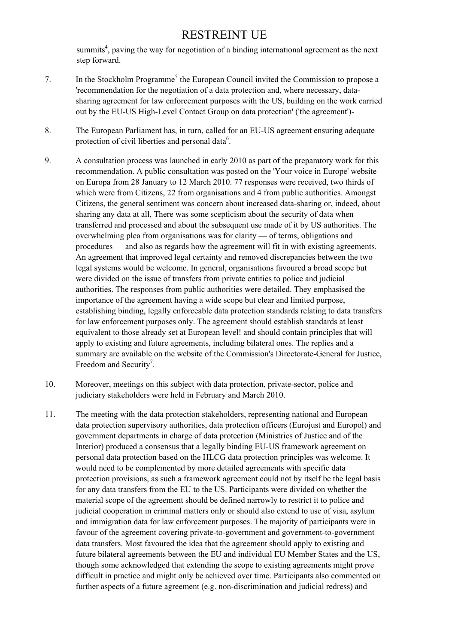summits<sup>4</sup>, paving the way for negotiation of a binding international agreement as the next step forward.

- 7. In the Stockholm Programme<sup>5</sup> the European Council invited the Commission to propose a 'recommendation for the negotiation of a data protection and, where necessary, datasharing agreement for law enforcement purposes with the US, building on the work carried out by the EU-US High-Level Contact Group on data protection' ('the agreement')-
- 8. The European Parliament has, in turn, called for an EU-US agreement ensuring adequate protection of civil liberties and personal data<sup>6</sup>.
- 9. A consultation process was launched in early 2010 as part of the preparatory work for this recommendation. A public consultation was posted on the 'Your voice in Europe' website on Europa from 28 January to 12 March 2010. 77 responses were received, two thirds of which were from Citizens, 22 from organisations and 4 from public authorities. Amongst Citizens, the general sentiment was concern about increased data-sharing or, indeed, about sharing any data at all, There was some scepticism about the security of data when transferred and processed and about the subsequent use made of it by US authorities. The overwhelming plea from organisations was for clarity — of terms, obligations and procedures — and also as regards how the agreement will fit in with existing agreements. An agreement that improved legal certainty and removed discrepancies between the two legal systems would be welcome. In general, organisations favoured a broad scope but were divided on the issue of transfers from private entities to police and judicial authorities. The responses from public authorities were detailed. They emphasised the importance of the agreement having a wide scope but clear and limited purpose, establishing binding, legally enforceable data protection standards relating to data transfers for law enforcement purposes only. The agreement should establish standards at least equivalent to those already set at European level! and should contain principles that will apply to existing and future agreements, including bilateral ones. The replies and a summary are available on the website of the Commission's Directorate-General for Justice, Freedom and Security<sup>7</sup>.
- 10. Moreover, meetings on this subject with data protection, private-sector, police and judiciary stakeholders were held in February and March 2010.
- 11. The meeting with the data protection stakeholders, representing national and European data protection supervisory authorities, data protection officers (Eurojust and Europol) and government departments in charge of data protection (Ministries of Justice and of the Interior) produced a consensus that a legally binding EU-US framework agreement on personal data protection based on the HLCG data protection principles was welcome. It would need to be complemented by more detailed agreements with specific data protection provisions, as such a framework agreement could not by itself be the legal basis for any data transfers from the EU to the US. Participants were divided on whether the material scope of the agreement should be defined narrowly to restrict it to police and judicial cooperation in criminal matters only or should also extend to use of visa, asylum and immigration data for law enforcement purposes. The majority of participants were in favour of the agreement covering private-to-government and government-to-government data transfers. Most favoured the idea that the agreement should apply to existing and future bilateral agreements between the EU and individual EU Member States and the US, though some acknowledged that extending the scope to existing agreements might prove difficult in practice and might only be achieved over time. Participants also commented on further aspects of a future agreement (e.g. non-discrimination and judicial redress) and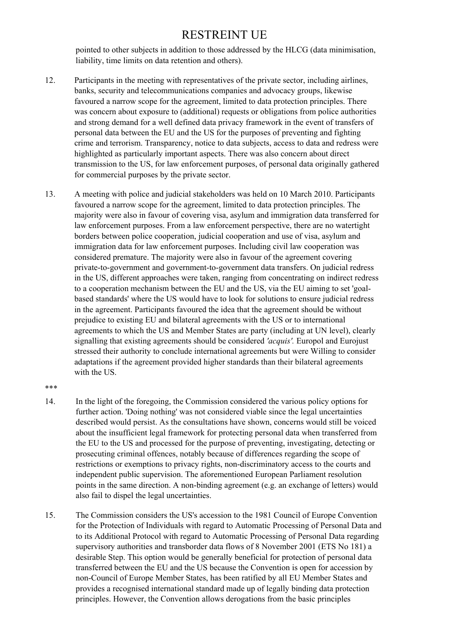pointed to other subjects in addition to those addressed by the HLCG (data minimisation, liability, time limits on data retention and others).

- 12. Participants in the meeting with representatives of the private sector, including airlines, banks, security and telecommunications companies and advocacy groups, likewise favoured a narrow scope for the agreement, limited to data protection principles. There was concern about exposure to (additional) requests or obligations from police authorities and strong demand for a well defined data privacy framework in the event of transfers of personal data between the EU and the US for the purposes of preventing and fighting crime and terrorism. Transparency, notice to data subjects, access to data and redress were highlighted as particularly important aspects. There was also concern about direct transmission to the US, for law enforcement purposes, of personal data originally gathered for commercial purposes by the private sector.
- 13. A meeting with police and judicial stakeholders was held on 10 March 2010. Participants favoured a narrow scope for the agreement, limited to data protection principles. The majority were also in favour of covering visa, asylum and immigration data transferred for law enforcement purposes. From a law enforcement perspective, there are no watertight borders between police cooperation, judicial cooperation and use of visa, asylum and immigration data for law enforcement purposes. Including civil law cooperation was considered premature. The majority were also in favour of the agreement covering private-to-government and government-to-government data transfers. On judicial redress in the US, different approaches were taken, ranging from concentrating on indirect redress to a cooperation mechanism between the EU and the US, via the EU aiming to set 'goalbased standards' where the US would have to look for solutions to ensure judicial redress in the agreement. Participants favoured the idea that the agreement should be without prejudice to existing EU and bilateral agreements with the US or to international agreements to which the US and Member States are party (including at UN level), clearly signalling that existing agreements should be considered *'acquis'.* Europol and Eurojust stressed their authority to conclude international agreements but were Willing to consider adaptations if the agreement provided higher standards than their bilateral agreements with the US.

\*\*\*

- 14. In the light of the foregoing, the Commission considered the various policy options for further action. 'Doing nothing' was not considered viable since the legal uncertainties described would persist. As the consultations have shown, concerns would still be voiced about the insufficient legal framework for protecting personal data when transferred from the EU to the US and processed for the purpose of preventing, investigating, detecting or prosecuting criminal offences, notably because of differences regarding the scope of restrictions or exemptions to privacy rights, non-discriminatory access to the courts and independent public supervision. The aforementioned European Parliament resolution points in the same direction. A non-binding agreement (e.g. an exchange of letters) would also fail to dispel the legal uncertainties.
- 15. The Commission considers the US's accession to the 1981 Council of Europe Convention for the Protection of Individuals with regard to Automatic Processing of Personal Data and to its Additional Protocol with regard to Automatic Processing of Personal Data regarding supervisory authorities and transborder data flows of 8 November 2001 (ETS No 181) a desirable Step. This option would be generally beneficial for protection of personal data transferred between the EU and the US because the Convention is open for accession by non-Council of Europe Member States, has been ratified by all EU Member States and provides a recognised international standard made up of legally binding data protection principles. However, the Convention allows derogations from the basic principles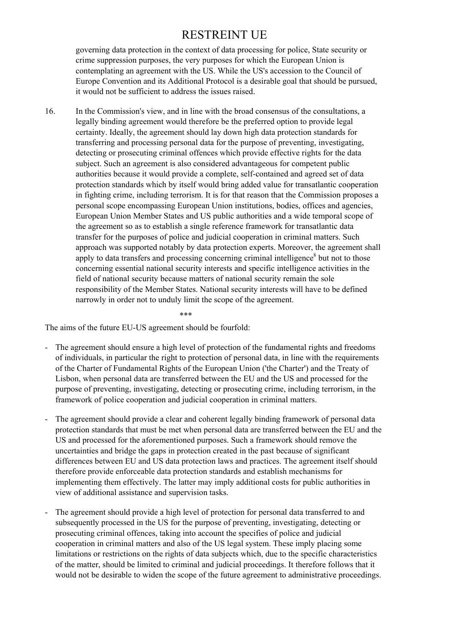governing data protection in the context of data processing for police, State security or crime suppression purposes, the very purposes for which the European Union is contemplating an agreement with the US. While the US's accession to the Council of Europe Convention and its Additional Protocol is a desirable goal that should be pursued, it would not be sufficient to address the issues raised.

16. In the Commission's view, and in line with the broad consensus of the consultations, a legally binding agreement would therefore be the preferred option to provide legal certainty. Ideally, the agreement should lay down high data protection standards for transferring and processing personal data for the purpose of preventing, investigating, detecting or prosecuting criminal offences which provide effective rights for the data subject. Such an agreement is also considered advantageous for competent public authorities because it would provide a complete, self-contained and agreed set of data protection standards which by itself would bring added value for transatlantic cooperation in fighting crime, including terrorism. It is for that reason that the Commission proposes a personal scope encompassing European Union institutions, bodies, offices and agencies, European Union Member States and US public authorities and a wide temporal scope of the agreement so as to establish a single reference framework for transatlantic data transfer for the purposes of police and judicial cooperation in criminal matters. Such approach was supported notably by data protection experts. Moreover, the agreement shall apply to data transfers and processing concerning criminal intelligence<sup>8</sup> but not to those concerning essential national security interests and specific intelligence activities in the field of national security because matters of national security remain the sole responsibility of the Member States. National security interests will have to be defined narrowly in order not to unduly limit the scope of the agreement.

\*\*\*

The aims of the future EU-US agreement should be fourfold:

- The agreement should ensure a high level of protection of the fundamental rights and freedoms of individuals, in particular the right to protection of personal data, in line with the requirements of the Charter of Fundamental Rights of the European Union ('the Charter') and the Treaty of Lisbon, when personal data are transferred between the EU and the US and processed for the purpose of preventing, investigating, detecting or prosecuting crime, including terrorism, in the framework of police cooperation and judicial cooperation in criminal matters.
- The agreement should provide a clear and coherent legally binding framework of personal data protection standards that must be met when personal data are transferred between the EU and the US and processed for the aforementioned purposes. Such a framework should remove the uncertainties and bridge the gaps in protection created in the past because of significant differences between EU and US data protection laws and practices. The agreement itself should therefore provide enforceable data protection standards and establish mechanisms for implementing them effectively. The latter may imply additional costs for public authorities in view of additional assistance and supervision tasks.
- The agreement should provide a high level of protection for personal data transferred to and subsequently processed in the US for the purpose of preventing, investigating, detecting or prosecuting criminal offences, taking into account the specifies of police and judicial cooperation in criminal matters and also of the US legal system. These imply placing some limitations or restrictions on the rights of data subjects which, due to the specific characteristics of the matter, should be limited to criminal and judicial proceedings. It therefore follows that it would not be desirable to widen the scope of the future agreement to administrative proceedings.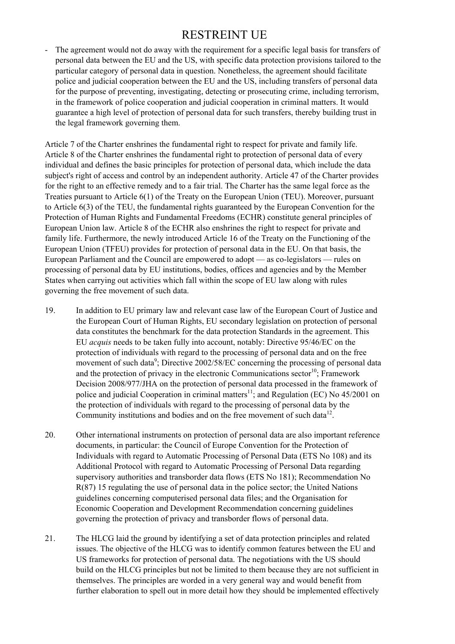The agreement would not do away with the requirement for a specific legal basis for transfers of personal data between the EU and the US, with specific data protection provisions tailored to the particular category of personal data in question. Nonetheless, the agreement should facilitate police and judicial cooperation between the EU and the US, including transfers of personal data for the purpose of preventing, investigating, detecting or prosecuting crime, including terrorism, in the framework of police cooperation and judicial cooperation in criminal matters. It would guarantee a high level of protection of personal data for such transfers, thereby building trust in the legal framework governing them.

Article 7 of the Charter enshrines the fundamental right to respect for private and family life. Article 8 of the Charter enshrines the fundamental right to protection of personal data of every individual and defines the basic principles for protection of personal data, which include the data subject's right of access and control by an independent authority. Article 47 of the Charter provides for the right to an effective remedy and to a fair trial. The Charter has the same legal force as the Treaties pursuant to Article 6(1) of the Treaty on the European Union (TEU). Moreover, pursuant to Article 6(3) of the TEU, the fundamental rights guaranteed by the European Convention for the Protection of Human Rights and Fundamental Freedoms (ECHR) constitute general principles of European Union law. Article 8 of the ECHR also enshrines the right to respect for private and family life. Furthermore, the newly introduced Article 16 of the Treaty on the Functioning of the European Union (TFEU) provides for protection of personal data in the EU. On that basis, the European Parliament and the Council are empowered to adopt — as co-legislators — rules on processing of personal data by EU institutions, bodies, offices and agencies and by the Member States when carrying out activities which fall within the scope of EU law along with rules governing the free movement of such data.

- 19. In addition to EU primary law and relevant case law of the European Court of Justice and the European Court of Human Rights, EU secondary legislation on protection of personal data constitutes the benchmark for the data protection Standards in the agreement. This EU *acquis* needs to be taken fully into account, notably: Directive 95/46/EC on the protection of individuals with regard to the processing of personal data and on the free movement of such data<sup>9</sup>; Directive 2002/58/EC concerning the processing of personal data and the protection of privacy in the electronic Communications sector<sup>10</sup>: Framework Decision 2008/977/JHA on the protection of personal data processed in the framework of police and judicial Cooperation in criminal matters<sup>11</sup>; and Regulation (EC) No  $45/2001$  on the protection of individuals with regard to the processing of personal data by the Community institutions and bodies and on the free movement of such data $12$ .
- 20. Other international instruments on protection of personal data are also important reference documents, in particular: the Council of Europe Convention for the Protection of Individuals with regard to Automatic Processing of Personal Data (ETS No 108) and its Additional Protocol with regard to Automatic Processing of Personal Data regarding supervisory authorities and transborder data flows (ETS No 181); Recommendation No R(87) 15 regulating the use of personal data in the police sector; the United Nations guidelines concerning computerised personal data files; and the Organisation for Economic Cooperation and Development Recommendation concerning guidelines governing the protection of privacy and transborder flows of personal data.
- 21. The HLCG laid the ground by identifying a set of data protection principles and related issues. The objective of the HLCG was to identify common features between the EU and US frameworks for protection of personal data. The negotiations with the US should build on the HLCG principles but not be limited to them because they are not sufficient in themselves. The principles are worded in a very general way and would benefit from further elaboration to spell out in more detail how they should be implemented effectively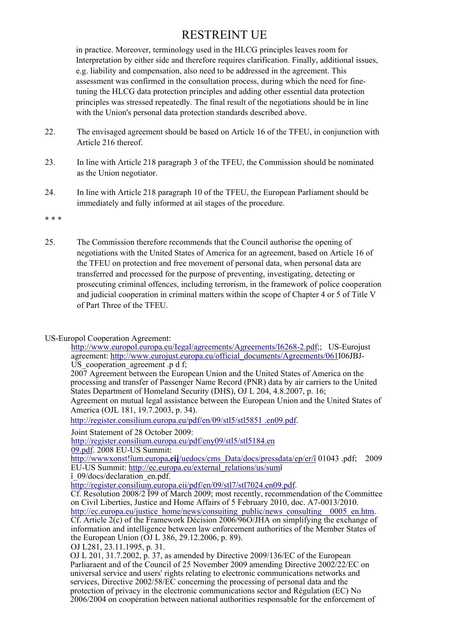in practice. Moreover, terminology used in the HLCG principles leaves room for Interpretation by either side and therefore requires clarification. Finally, additional issues, e.g. liability and compensation, also need to be addressed in the agreement. This assessment was confirmed in the consultation process, during which the need for finetuning the HLCG data protection principles and adding other essential data protection principles was stressed repeatedly. The final result of the negotiations should be in line with the Union's personal data protection standards described above.

- 22. The envisaged agreement should be based on Article 16 of the TFEU, in conjunction with Article 216 thereof.
- 23. In line with Article 218 paragraph 3 of the TFEU, the Commission should be nominated as the Union negotiator.
- 24. In line with Article 218 paragraph 10 of the TFEU, the European Parliament should be immediately and fully informed at ail stages of the procedure.

\* \* \*

25. The Commission therefore recommends that the Council authorise the opening of negotiations with the United States of America for an agreement, based on Article 16 of the TFEU on protection and free movement of personal data, when personal data are transferred and processed for the purpose of preventing, investigating, detecting or prosecuting criminal offences, including terrorism, in the framework of police cooperation and judicial cooperation in criminal matters within the scope of Chapter 4 or 5 of Title V of Part Three of the TFEU.

#### US-Europol Cooperation Agreement:

http://www.europol.europa.eu/Iegal/agreements/Agreements/I6268-2.pdf;; US-Eurojust agreement: http://www.eurojust.europa.eu/official\_documents/Agreements/061I06JBJ-US cooperation agreement .p d f:

2007 Agreement between the European Union and the United States of America on the processing and transfer of Passenger Name Record (PNR) data by air carriers to the United States Department of Homeland Security (DHS), OJ L 204, 4.8.2007, p. 16; Agreement on mutual legal assistance between the European Union and the United States of

America (OJL 181, 19.7.2003, p. 34).

http://register.consilium.europa.eu/pdf/en/09/stl5/stl5851 .en09.pdf.

Joint Statement of 28 October 2009:

http://register.consilium.europa.eu/pdf/eny09/stl5/stl5184.en

09.pdf. 2008 EU-US Summit:

http://wwwxonst!îum.europa**.eij**/uedocs/cms\_Data/docs/pressdata/ep/er/î 01043 .pdf; 2009 EU-US Summit: http://ec.europa.eu/external\_relations/us/sumî

î\_09/docs/declaration\_en.pdf.

Cf. Resolution 2008/2 Ï99 of March 2009; most recently, recommendation of the Committee on Civil Liberties, Justice and Home Affairs of 5 February 2010, doc. A7-0013/2010.

http://ec.europa.eu/justice\_home/news/consuiting\_public/news\_consulting\_0005\_en.htm. Cf. Article 2(c) of the Framework Décision 2006/96O/JHA on simplifying the exchange of information and intelligence between law enforcement authorities of the Member States of the European Union (OJ L 386, 29.12.2006, p. 89).

OJ L281, 23.11.1995, p. 31.

OJ L 201, 31.7.2002, p. 37, as amended by Directive 2009/136/EC of the European Parliaraent and of the Council of 25 November 2009 amending Directive 2002/22/EC on universal service and users' rights relating to electronic communications networks and services, Directive 2002/58/EC concerning the processing of personal data and the protection of privacy in the electronic communications sector and Régulation (EC) No 2006/2004 on coopération between national authorities responsable for the enforcement of

http://register.consilium.europa.eii/pdf/en/09/stl7/stl7024.en09.pdf.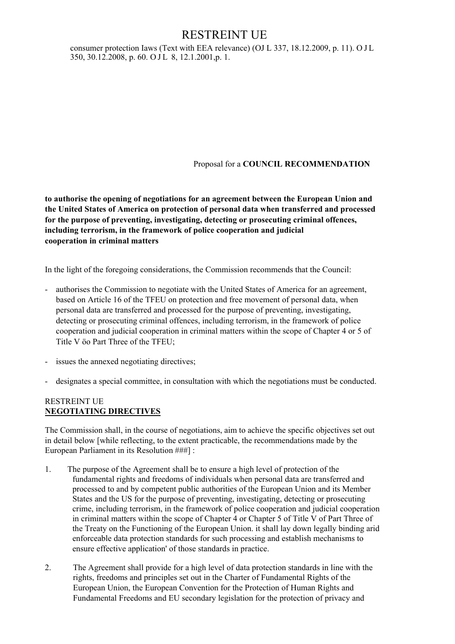consumer protection Iaws (Text with EEA relevance) (OJ L 337, 18.12.2009, p. 11). O J L 350, 30.12.2008, p. 60. O J L 8, 12.1.2001, p. 1.

### Proposal for a **COUNCIL RECOMMENDATION**

**to authorise the opening of negotiations for an agreement between the European Union and the United States of America on protection of personal data when transferred and processed for the purpose of preventing, investigating, detecting or prosecuting criminal offences, including terrorism, in the framework of police cooperation and judicial cooperation in criminal matters** 

In the light of the foregoing considerations, the Commission recommends that the Council:

- authorises the Commission to negotiate with the United States of America for an agreement, based on Article 16 of the TFEU on protection and free movement of personal data, when personal data are transferred and processed for the purpose of preventing, investigating, detecting or prosecuting criminal offences, including terrorism, in the framework of police cooperation and judicial cooperation in criminal matters within the scope of Chapter 4 or 5 of Title V öo Part Three of the TFEU;
- issues the annexed negotiating directives;
- designates a special committee, in consultation with which the negotiations must be conducted.

#### RESTREINT UE **NEGOTIATING DIRECTIVES**

The Commission shall, in the course of negotiations, aim to achieve the specific objectives set out in detail below [while reflecting, to the extent practicable, the recommendations made by the European Parliament in its Resolution ###] :

- 1. The purpose of the Agreement shall be to ensure a high level of protection of the fundamental rights and freedoms of individuals when personal data are transferred and processed to and by competent public authorities of the European Union and its Member States and the US for the purpose of preventing, investigating, detecting or prosecuting crime, including terrorism, in the framework of police cooperation and judicial cooperation in criminal matters within the scope of Chapter 4 or Chapter 5 of Title V of Part Three of the Treaty on the Functioning of the European Union. it shall lay down legally binding arid enforceable data protection standards for such processing and establish mechanisms to ensure effective application' of those standards in practice.
- 2. The Agreement shall provide for a high level of data protection standards in line with the rights, freedoms and principles set out in the Charter of Fundamental Rights of the European Union, the European Convention for the Protection of Human Rights and Fundamental Freedoms and EU secondary legislation for the protection of privacy and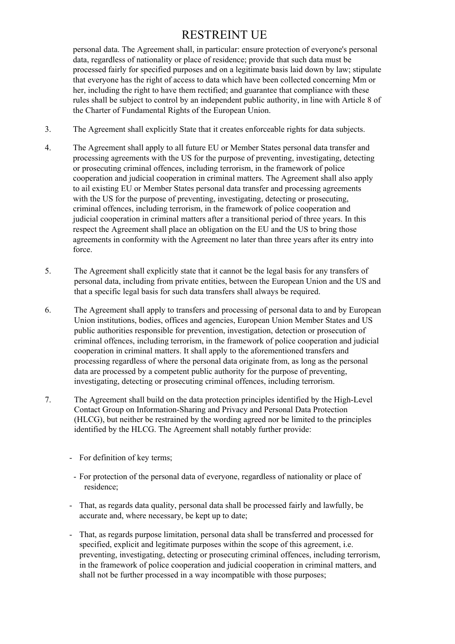personal data. The Agreement shall, in particular: ensure protection of everyone's personal data, regardless of nationality or place of residence; provide that such data must be processed fairly for specified purposes and on a legitimate basis laid down by law; stipulate that everyone has the right of access to data which have been collected concerning Mm or her, including the right to have them rectified; and guarantee that compliance with these rules shall be subject to control by an independent public authority, in line with Article 8 of the Charter of Fundamental Rights of the European Union.

- 3. The Agreement shall explicitly State that it creates enforceable rights for data subjects.
- 4. The Agreement shall apply to all future EU or Member States personal data transfer and processing agreements with the US for the purpose of preventing, investigating, detecting or prosecuting criminal offences, including terrorism, in the framework of police cooperation and judicial cooperation in criminal matters. The Agreement shall also apply to ail existing EU or Member States personal data transfer and processing agreements with the US for the purpose of preventing, investigating, detecting or prosecuting. criminal offences, including terrorism, in the framework of police cooperation and judicial cooperation in criminal matters after a transitional period of three years. In this respect the Agreement shall place an obligation on the EU and the US to bring those agreements in conformity with the Agreement no later than three years after its entry into force.
- 5. The Agreement shall explicitly state that it cannot be the legal basis for any transfers of personal data, including from private entities, between the European Union and the US and that a specific legal basis for such data transfers shall always be required.
- 6. The Agreement shall apply to transfers and processing of personal data to and by European Union institutions, bodies, offices and agencies, European Union Member States and US public authorities responsible for prevention, investigation, detection or prosecution of criminal offences, including terrorism, in the framework of police cooperation and judicial cooperation in criminal matters. It shall apply to the aforementioned transfers and processing regardless of where the personal data originate from, as long as the personal data are processed by a competent public authority for the purpose of preventing, investigating, detecting or prosecuting criminal offences, including terrorism.
- 7. The Agreement shall build on the data protection principles identified by the High-Level Contact Group on Information-Sharing and Privacy and Personal Data Protection (HLCG), but neither be restrained by the wording agreed nor be limited to the principles identified by the HLCG. The Agreement shall notably further provide:
	- For definition of key terms;
	- For protection of the personal data of everyone, regardless of nationality or place of residence;
	- That, as regards data quality, personal data shall be processed fairly and lawfully, be accurate and, where necessary, be kept up to date;
	- That, as regards purpose limitation, personal data shall be transferred and processed for specified, explicit and legitimate purposes within the scope of this agreement, i.e. preventing, investigating, detecting or prosecuting criminal offences, including terrorism, in the framework of police cooperation and judicial cooperation in criminal matters, and shall not be further processed in a way incompatible with those purposes;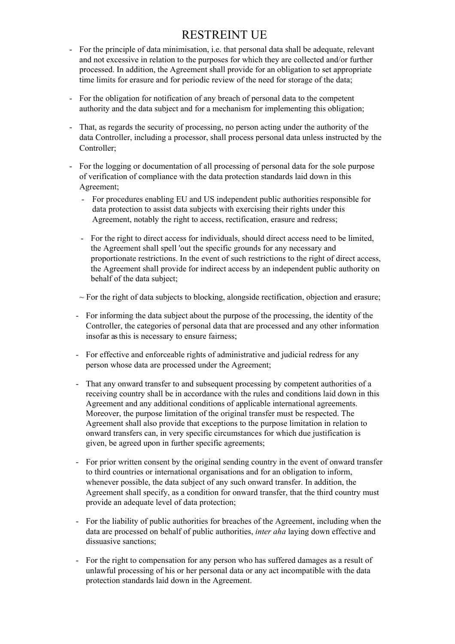- For the principle of data minimisation, i.e. that personal data shall be adequate, relevant and not excessive in relation to the purposes for which they are collected and/or further processed. In addition, the Agreement shall provide for an obligation to set appropriate time limits for erasure and for periodic review of the need for storage of the data;
- For the obligation for notification of any breach of personal data to the competent authority and the data subject and for a mechanism for implementing this obligation;
- That, as regards the security of processing, no person acting under the authority of the data Controller, including a processor, shall process personal data unless instructed by the Controller;
- For the logging or documentation of all processing of personal data for the sole purpose of verification of compliance with the data protection standards laid down in this Agreement;
	- For procedures enabling EU and US independent public authorities responsible for data protection to assist data subjects with exercising their rights under this Agreement, notably the right to access, rectification, erasure and redress;
	- For the right to direct access for individuals, should direct access need to be limited, the Agreement shall spell 'out the specific grounds for any necessary and proportionate restrictions. In the event of such restrictions to the right of direct access, the Agreement shall provide for indirect access by an independent public authority on behalf of the data subject;
	- $\sim$  For the right of data subjects to blocking, alongside rectification, objection and erasure;
	- For informing the data subject about the purpose of the processing, the identity of the Controller, the categories of personal data that are processed and any other information insofar as this is necessary to ensure fairness;
	- For effective and enforceable rights of administrative and judicial redress for any person whose data are processed under the Agreement;
	- That any onward transfer to and subsequent processing by competent authorities of a receiving country shall be in accordance with the rules and conditions laid down in this Agreement and any additional conditions of applicable international agreements. Moreover, the purpose limitation of the original transfer must be respected. The Agreement shall also provide that exceptions to the purpose limitation in relation to onward transfers can, in very specific circumstances for which due justification is given, be agreed upon in further specific agreements;
	- For prior written consent by the original sending country in the event of onward transfer to third countries or international organisations and for an obligation to inform, whenever possible, the data subject of any such onward transfer. In addition, the Agreement shall specify, as a condition for onward transfer, that the third country must provide an adequate level of data protection;
	- For the liability of public authorities for breaches of the Agreement, including when the data are processed on behalf of public authorities, *inter aha* laying down effective and dissuasive sanctions;
	- For the right to compensation for any person who has suffered damages as a result of unlawful processing of his or her personal data or any act incompatible with the data protection standards laid down in the Agreement.